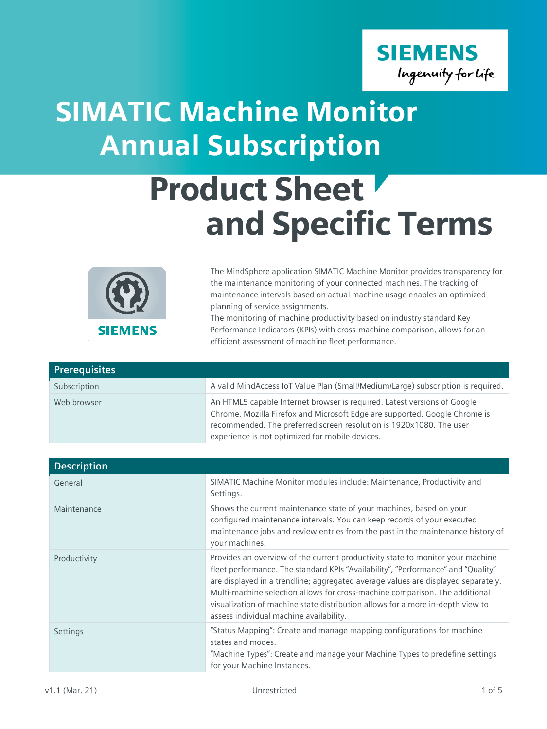

## SIMATIC Machine Monitor Annual Subscription

## Product Sheet and Specific Terms



The MindSphere application SIMATIC Machine Monitor provides transparency for the maintenance monitoring of your connected machines. The tracking of maintenance intervals based on actual machine usage enables an optimized planning of service assignments.

The monitoring of machine productivity based on industry standard Key Performance Indicators (KPIs) with cross-machine comparison, allows for an efficient assessment of machine fleet performance.

| <b>Prerequisites</b> |                                                                                                                                                                                                                                                                                  |
|----------------------|----------------------------------------------------------------------------------------------------------------------------------------------------------------------------------------------------------------------------------------------------------------------------------|
| Subscription         | A valid MindAccess IoT Value Plan (Small/Medium/Large) subscription is required.                                                                                                                                                                                                 |
| Web browser          | An HTML5 capable Internet browser is required. Latest versions of Google<br>Chrome, Mozilla Firefox and Microsoft Edge are supported. Google Chrome is<br>recommended. The preferred screen resolution is 1920x1080. The user<br>experience is not optimized for mobile devices. |

| <b>Description</b> |                                                                                                                                                                                                                                                                                                                                                                                                                                                                     |
|--------------------|---------------------------------------------------------------------------------------------------------------------------------------------------------------------------------------------------------------------------------------------------------------------------------------------------------------------------------------------------------------------------------------------------------------------------------------------------------------------|
| General            | SIMATIC Machine Monitor modules include: Maintenance, Productivity and<br>Settings.                                                                                                                                                                                                                                                                                                                                                                                 |
| Maintenance        | Shows the current maintenance state of your machines, based on your<br>configured maintenance intervals. You can keep records of your executed<br>maintenance jobs and review entries from the past in the maintenance history of<br>your machines.                                                                                                                                                                                                                 |
| Productivity       | Provides an overview of the current productivity state to monitor your machine<br>fleet performance. The standard KPIs "Availability", "Performance" and "Quality"<br>are displayed in a trendline; aggregated average values are displayed separately.<br>Multi-machine selection allows for cross-machine comparison. The additional<br>visualization of machine state distribution allows for a more in-depth view to<br>assess individual machine availability. |
| Settings           | "Status Mapping": Create and manage mapping configurations for machine<br>states and modes.<br>"Machine Types": Create and manage your Machine Types to predefine settings<br>for your Machine Instances.                                                                                                                                                                                                                                                           |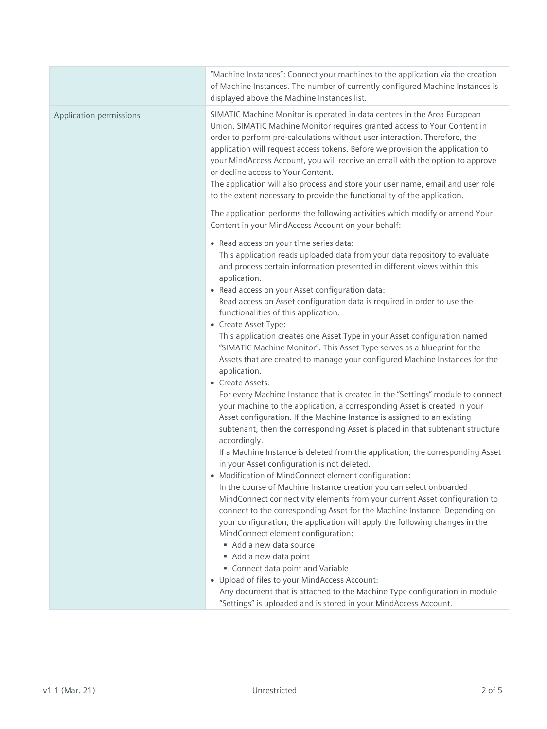|                         | "Machine Instances": Connect your machines to the application via the creation<br>of Machine Instances. The number of currently configured Machine Instances is<br>displayed above the Machine Instances list.                                                                                                                                                                                                                                                                                                                                                                                                                                                                                                                                                                                                                                                                                                                                                                                                                                                                                                           |
|-------------------------|--------------------------------------------------------------------------------------------------------------------------------------------------------------------------------------------------------------------------------------------------------------------------------------------------------------------------------------------------------------------------------------------------------------------------------------------------------------------------------------------------------------------------------------------------------------------------------------------------------------------------------------------------------------------------------------------------------------------------------------------------------------------------------------------------------------------------------------------------------------------------------------------------------------------------------------------------------------------------------------------------------------------------------------------------------------------------------------------------------------------------|
| Application permissions | SIMATIC Machine Monitor is operated in data centers in the Area European<br>Union. SIMATIC Machine Monitor requires granted access to Your Content in<br>order to perform pre-calculations without user interaction. Therefore, the<br>application will request access tokens. Before we provision the application to<br>your MindAccess Account, you will receive an email with the option to approve<br>or decline access to Your Content.<br>The application will also process and store your user name, email and user role<br>to the extent necessary to provide the functionality of the application.                                                                                                                                                                                                                                                                                                                                                                                                                                                                                                              |
|                         | The application performs the following activities which modify or amend Your<br>Content in your MindAccess Account on your behalf:                                                                                                                                                                                                                                                                                                                                                                                                                                                                                                                                                                                                                                                                                                                                                                                                                                                                                                                                                                                       |
|                         | • Read access on your time series data:<br>This application reads uploaded data from your data repository to evaluate<br>and process certain information presented in different views within this<br>application.<br>• Read access on your Asset configuration data:<br>Read access on Asset configuration data is required in order to use the<br>functionalities of this application.<br>• Create Asset Type:<br>This application creates one Asset Type in your Asset configuration named<br>"SIMATIC Machine Monitor". This Asset Type serves as a blueprint for the<br>Assets that are created to manage your configured Machine Instances for the<br>application.<br>• Create Assets:<br>For every Machine Instance that is created in the "Settings" module to connect<br>your machine to the application, a corresponding Asset is created in your<br>Asset configuration. If the Machine Instance is assigned to an existing<br>subtenant, then the corresponding Asset is placed in that subtenant structure<br>accordingly.<br>If a Machine Instance is deleted from the application, the corresponding Asset |
|                         | in your Asset configuration is not deleted.<br>Modification of MindConnect element configuration:<br>$\bullet$<br>In the course of Machine Instance creation you can select onboarded<br>MindConnect connectivity elements from your current Asset configuration to<br>connect to the corresponding Asset for the Machine Instance. Depending on<br>your configuration, the application will apply the following changes in the<br>MindConnect element configuration:<br>Add a new data source<br>Add a new data point                                                                                                                                                                                                                                                                                                                                                                                                                                                                                                                                                                                                   |
|                         | Connect data point and Variable<br>• Upload of files to your MindAccess Account:<br>Any document that is attached to the Machine Type configuration in module<br>"Settings" is uploaded and is stored in your MindAccess Account.                                                                                                                                                                                                                                                                                                                                                                                                                                                                                                                                                                                                                                                                                                                                                                                                                                                                                        |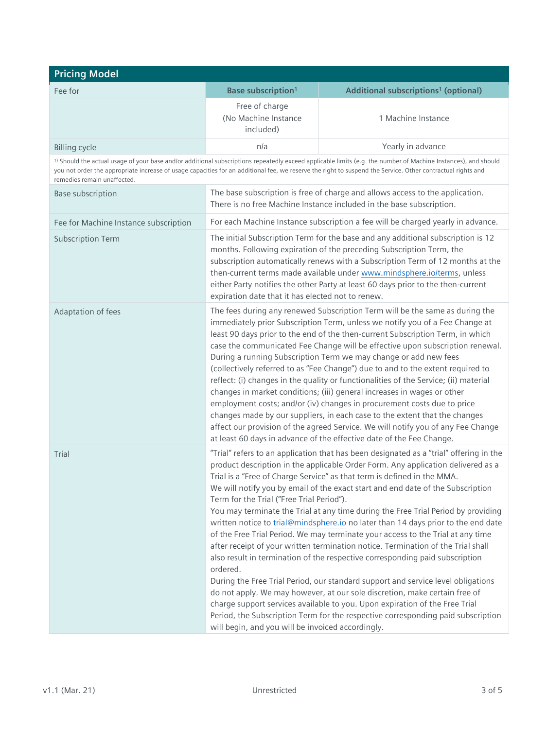| <b>Pricing Model</b>                  |                                                                                                            |                                                                                                                                                                                                                                                                                                                                                                                                                                                                                                                                                                                                                                                                                                                                                                                                                                                                                                                                                                                                                                                                                                                |
|---------------------------------------|------------------------------------------------------------------------------------------------------------|----------------------------------------------------------------------------------------------------------------------------------------------------------------------------------------------------------------------------------------------------------------------------------------------------------------------------------------------------------------------------------------------------------------------------------------------------------------------------------------------------------------------------------------------------------------------------------------------------------------------------------------------------------------------------------------------------------------------------------------------------------------------------------------------------------------------------------------------------------------------------------------------------------------------------------------------------------------------------------------------------------------------------------------------------------------------------------------------------------------|
| Fee for                               | Base subscription <sup>1</sup>                                                                             | Additional subscriptions <sup>1</sup> (optional)                                                                                                                                                                                                                                                                                                                                                                                                                                                                                                                                                                                                                                                                                                                                                                                                                                                                                                                                                                                                                                                               |
|                                       | Free of charge<br>(No Machine Instance<br>included)                                                        | 1 Machine Instance                                                                                                                                                                                                                                                                                                                                                                                                                                                                                                                                                                                                                                                                                                                                                                                                                                                                                                                                                                                                                                                                                             |
| <b>Billing cycle</b>                  | n/a                                                                                                        | Yearly in advance                                                                                                                                                                                                                                                                                                                                                                                                                                                                                                                                                                                                                                                                                                                                                                                                                                                                                                                                                                                                                                                                                              |
| remedies remain unaffected.           |                                                                                                            | <sup>1)</sup> Should the actual usage of your base and/or additional subscriptions repeatedly exceed applicable limits (e.g. the number of Machine Instances), and should<br>you not order the appropriate increase of usage capacities for an additional fee, we reserve the right to suspend the Service. Other contractual rights and                                                                                                                                                                                                                                                                                                                                                                                                                                                                                                                                                                                                                                                                                                                                                                       |
| Base subscription                     |                                                                                                            | The base subscription is free of charge and allows access to the application.<br>There is no free Machine Instance included in the base subscription.                                                                                                                                                                                                                                                                                                                                                                                                                                                                                                                                                                                                                                                                                                                                                                                                                                                                                                                                                          |
| Fee for Machine Instance subscription |                                                                                                            | For each Machine Instance subscription a fee will be charged yearly in advance.                                                                                                                                                                                                                                                                                                                                                                                                                                                                                                                                                                                                                                                                                                                                                                                                                                                                                                                                                                                                                                |
| <b>Subscription Term</b>              | expiration date that it has elected not to renew.                                                          | The initial Subscription Term for the base and any additional subscription is 12<br>months. Following expiration of the preceding Subscription Term, the<br>subscription automatically renews with a Subscription Term of 12 months at the<br>then-current terms made available under www.mindsphere.io/terms, unless<br>either Party notifies the other Party at least 60 days prior to the then-current                                                                                                                                                                                                                                                                                                                                                                                                                                                                                                                                                                                                                                                                                                      |
| Adaptation of fees                    |                                                                                                            | The fees during any renewed Subscription Term will be the same as during the<br>immediately prior Subscription Term, unless we notify you of a Fee Change at<br>least 90 days prior to the end of the then-current Subscription Term, in which<br>case the communicated Fee Change will be effective upon subscription renewal.<br>During a running Subscription Term we may change or add new fees<br>(collectively referred to as "Fee Change") due to and to the extent required to<br>reflect: (i) changes in the quality or functionalities of the Service; (ii) material<br>changes in market conditions; (iii) general increases in wages or other<br>employment costs; and/or (iv) changes in procurement costs due to price<br>changes made by our suppliers, in each case to the extent that the changes<br>affect our provision of the agreed Service. We will notify you of any Fee Change<br>at least 60 days in advance of the effective date of the Fee Change.                                                                                                                                 |
| Trial                                 | Term for the Trial ("Free Trial Period").<br>ordered.<br>will begin, and you will be invoiced accordingly. | "Trial" refers to an application that has been designated as a "trial" offering in the<br>product description in the applicable Order Form. Any application delivered as a<br>Trial is a "Free of Charge Service" as that term is defined in the MMA.<br>We will notify you by email of the exact start and end date of the Subscription<br>You may terminate the Trial at any time during the Free Trial Period by providing<br>written notice to trial@mindsphere.io no later than 14 days prior to the end date<br>of the Free Trial Period. We may terminate your access to the Trial at any time<br>after receipt of your written termination notice. Termination of the Trial shall<br>also result in termination of the respective corresponding paid subscription<br>During the Free Trial Period, our standard support and service level obligations<br>do not apply. We may however, at our sole discretion, make certain free of<br>charge support services available to you. Upon expiration of the Free Trial<br>Period, the Subscription Term for the respective corresponding paid subscription |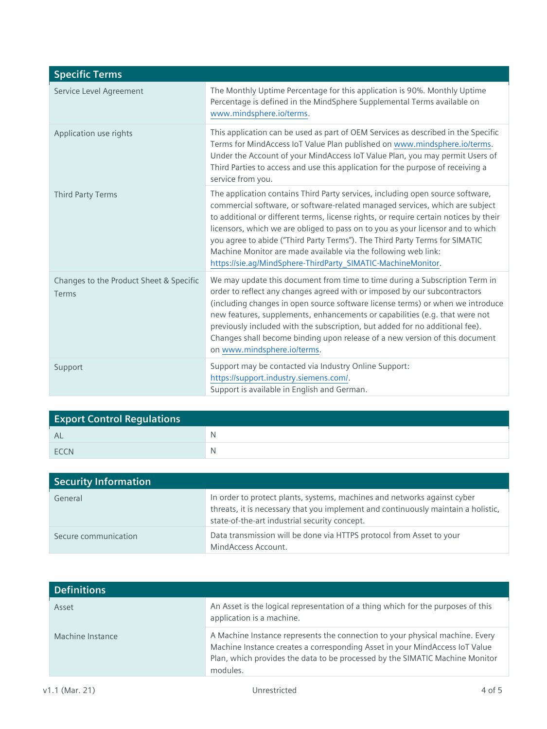| <b>Specific Terms</b>                            |                                                                                                                                                                                                                                                                                                                                                                                                                                                                                                                                                             |
|--------------------------------------------------|-------------------------------------------------------------------------------------------------------------------------------------------------------------------------------------------------------------------------------------------------------------------------------------------------------------------------------------------------------------------------------------------------------------------------------------------------------------------------------------------------------------------------------------------------------------|
| Service Level Agreement                          | The Monthly Uptime Percentage for this application is 90%. Monthly Uptime<br>Percentage is defined in the MindSphere Supplemental Terms available on<br>www.mindsphere.io/terms.                                                                                                                                                                                                                                                                                                                                                                            |
| Application use rights                           | This application can be used as part of OEM Services as described in the Specific<br>Terms for MindAccess IoT Value Plan published on www.mindsphere.io/terms.<br>Under the Account of your MindAccess IoT Value Plan, you may permit Users of<br>Third Parties to access and use this application for the purpose of receiving a<br>service from you.                                                                                                                                                                                                      |
| <b>Third Party Terms</b>                         | The application contains Third Party services, including open source software,<br>commercial software, or software-related managed services, which are subject<br>to additional or different terms, license rights, or require certain notices by their<br>licensors, which we are obliged to pass on to you as your licensor and to which<br>you agree to abide ("Third Party Terms"). The Third Party Terms for SIMATIC<br>Machine Monitor are made available via the following web link:<br>https://sie.ag/MindSphere-ThirdParty_SIMATIC-MachineMonitor. |
| Changes to the Product Sheet & Specific<br>Terms | We may update this document from time to time during a Subscription Term in<br>order to reflect any changes agreed with or imposed by our subcontractors<br>(including changes in open source software license terms) or when we introduce<br>new features, supplements, enhancements or capabilities (e.g. that were not<br>previously included with the subscription, but added for no additional fee).<br>Changes shall become binding upon release of a new version of this document<br>on www.mindsphere.io/terms.                                     |
| Support                                          | Support may be contacted via Industry Online Support:<br>https://support.industry.siemens.com/.<br>Support is available in English and German.                                                                                                                                                                                                                                                                                                                                                                                                              |

| <b>Export Control Regulations</b> |   |
|-----------------------------------|---|
| <b>AL</b>                         | N |
| ECCN                              | N |

| <b>Security Information</b> |                                                                                                                                                                                                                |
|-----------------------------|----------------------------------------------------------------------------------------------------------------------------------------------------------------------------------------------------------------|
| General                     | In order to protect plants, systems, machines and networks against cyber<br>threats, it is necessary that you implement and continuously maintain a holistic,<br>state-of-the-art industrial security concept. |
| Secure communication        | Data transmission will be done via HTTPS protocol from Asset to your<br>MindAccess Account.                                                                                                                    |

| <b>Definitions</b> |                                                                                                                                                                                                                                                         |
|--------------------|---------------------------------------------------------------------------------------------------------------------------------------------------------------------------------------------------------------------------------------------------------|
| Asset              | An Asset is the logical representation of a thing which for the purposes of this<br>application is a machine.                                                                                                                                           |
| Machine Instance   | A Machine Instance represents the connection to your physical machine. Every<br>Machine Instance creates a corresponding Asset in your MindAccess IoT Value<br>Plan, which provides the data to be processed by the SIMATIC Machine Monitor<br>modules. |